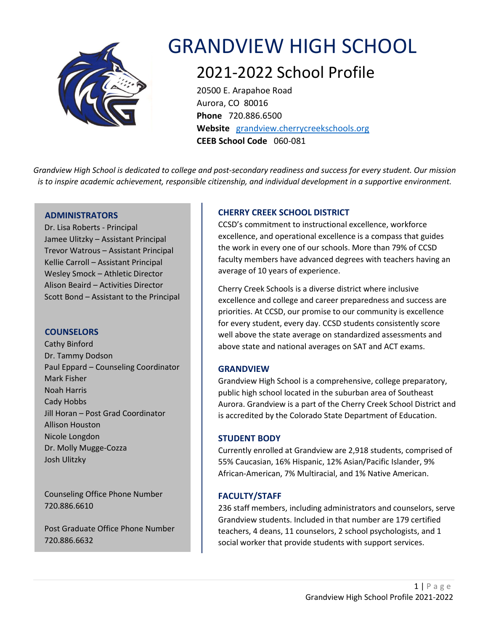

# GRANDVIEW HIGH SCHOOL

# 2021-2022 School Profile

20500 E. Arapahoe Road Aurora, CO 80016 **Phone** 720.886.6500 **Website** [grandview.cherrycreekschools.org](https://www.cherrycreekschools.org/Grandview) **CEEB School Code** 060-081

*Grandview High School is dedicated to college and post-secondary readiness and success for every student. Our mission is to inspire academic achievement, responsible citizenship, and individual development in a supportive environment.*

# **ADMINISTRATORS**

Dr. Lisa Roberts - Principal Jamee Ulitzky – Assistant Principal Trevor Watrous – Assistant Principal Kellie Carroll – Assistant Principal Wesley Smock – Athletic Director Alison Beaird – Activities Director Scott Bond – Assistant to the Principal

# **COUNSELORS**

 Cathy Binford Dr. Tammy Dodson Paul Eppard – Counseling Coordinator Mark Fisher Noah Harris Cady Hobbs Jill Horan – Post Grad Coordinator Allison Houston Nicole Longdon Dr. Molly Mugge-Cozza Josh Ulitzky

 Counseling Office Phone Number 720.886.6610

 Post Graduate Office Phone Number 720.886.6632

# **CHERRY CREEK SCHOOL DISTRICT**

CCSD's commitment to instructional excellence, workforce excellence, and operational excellence is a compass that guides the work in every one of our schools. More than 79% of CCSD faculty members have advanced degrees with teachers having an average of 10 years of experience.

Cherry Creek Schools is a diverse district where inclusive excellence and college and career preparedness and success are priorities. At CCSD, our promise to our community is excellence for every student, every day. CCSD students consistently score well above the state average on standardized assessments and above state and national averages on SAT and ACT exams.

# **GRANDVIEW**

Grandview High School is a comprehensive, college preparatory, public high school located in the suburban area of Southeast Aurora. Grandview is a part of the Cherry Creek School District and is accredited by the Colorado State Department of Education.

# **STUDENT BODY**

Currently enrolled at Grandview are 2,918 students, comprised of 55% Caucasian, 16% Hispanic, 12% Asian/Pacific Islander, 9% African-American, 7% Multiracial, and 1% Native American.

# **FACULTY/STAFF**

236 staff members, including administrators and counselors, serve Grandview students. Included in that number are 179 certified teachers, 4 deans, 11 counselors, 2 school psychologists, and 1 social worker that provide students with support services.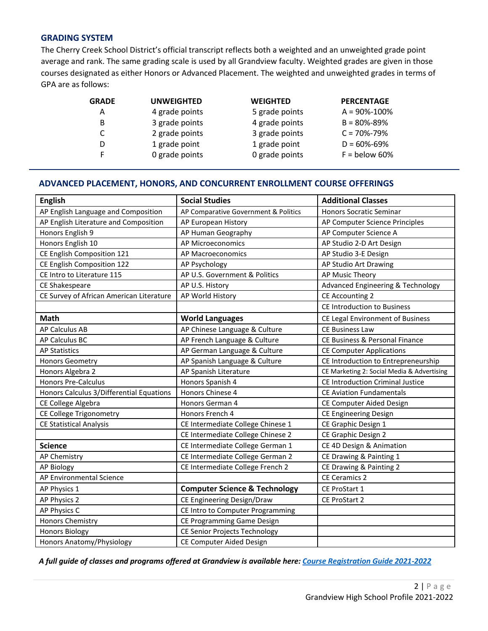### **GRADING SYSTEM**

The Cherry Creek School District's official transcript reflects both a weighted and an unweighted grade point average and rank. The same grading scale is used by all Grandview faculty. Weighted grades are given in those courses designated as either Honors or Advanced Placement. The weighted and unweighted grades in terms of GPA are as follows:

| GRADE | <b>UNWEIGHTED</b> | <b>WEIGHTED</b> | <b>PERCENTAGE</b>  |
|-------|-------------------|-----------------|--------------------|
| Α     | 4 grade points    | 5 grade points  | $A = 90\% - 100\%$ |
| B     | 3 grade points    | 4 grade points  | $B = 80\% - 89\%$  |
| C     | 2 grade points    | 3 grade points  | $C = 70\% - 79\%$  |
| D     | 1 grade point     | 1 grade point   | $D = 60\% - 69\%$  |
| F     | 0 grade points    | 0 grade points  | $F =$ below 60%    |

# **ADVANCED PLACEMENT, HONORS, AND CONCURRENT ENROLLMENT COURSE OFFERINGS**

| <b>English</b>                           | <b>Social Studies</b>                    | <b>Additional Classes</b>                  |
|------------------------------------------|------------------------------------------|--------------------------------------------|
| AP English Language and Composition      | AP Comparative Government & Politics     | <b>Honors Socratic Seminar</b>             |
| AP English Literature and Composition    | AP European History                      | AP Computer Science Principles             |
| Honors English 9                         | AP Human Geography                       | AP Computer Science A                      |
| Honors English 10                        | <b>AP Microeconomics</b>                 | AP Studio 2-D Art Design                   |
| CE English Composition 121               | AP Macroeconomics                        | AP Studio 3-E Design                       |
| CE English Composition 122               | AP Psychology                            | AP Studio Art Drawing                      |
| CE Intro to Literature 115               | AP U.S. Government & Politics            | AP Music Theory                            |
| CE Shakespeare                           | AP U.S. History                          | Advanced Engineering & Technology          |
| CE Survey of African American Literature | AP World History                         | <b>CE Accounting 2</b>                     |
|                                          |                                          | <b>CE Introduction to Business</b>         |
| <b>Math</b>                              | <b>World Languages</b>                   | CE Legal Environment of Business           |
| <b>AP Calculus AB</b>                    | AP Chinese Language & Culture            | <b>CE Business Law</b>                     |
| AP Calculus BC                           | AP French Language & Culture             | CE Business & Personal Finance             |
| <b>AP Statistics</b>                     | AP German Language & Culture             | <b>CE Computer Applications</b>            |
| <b>Honors Geometry</b>                   | AP Spanish Language & Culture            | CE Introduction to Entrepreneurship        |
| Honors Algebra 2                         | AP Spanish Literature                    | CE Marketing 2: Social Media & Advertising |
| <b>Honors Pre-Calculus</b>               | Honors Spanish 4                         | <b>CE Introduction Criminal Justice</b>    |
| Honors Calculus 3/Differential Equations | Honors Chinese 4                         | <b>CE Aviation Fundamentals</b>            |
| CE College Algebra                       | Honors German 4                          | CE Computer Aided Design                   |
| CE College Trigonometry                  | Honors French 4                          | CE Engineering Design                      |
| <b>CE Statistical Analysis</b>           | CE Intermediate College Chinese 1        | CE Graphic Design 1                        |
|                                          | CE Intermediate College Chinese 2        | CE Graphic Design 2                        |
| <b>Science</b>                           | CE Intermediate College German 1         | CE 4D Design & Animation                   |
| <b>AP Chemistry</b>                      | CE Intermediate College German 2         | CE Drawing & Painting 1                    |
| <b>AP Biology</b>                        | CE Intermediate College French 2         | CE Drawing & Painting 2                    |
| AP Environmental Science                 |                                          | <b>CE Ceramics 2</b>                       |
| AP Physics 1                             | <b>Computer Science &amp; Technology</b> | CE ProStart 1                              |
| AP Physics 2                             | CE Engineering Design/Draw               | CE ProStart 2                              |
| AP Physics C                             | CE Intro to Computer Programming         |                                            |
| Honors Chemistry                         | CE Programming Game Design               |                                            |
| <b>Honors Biology</b>                    | <b>CE Senior Projects Technology</b>     |                                            |
| Honors Anatomy/Physiology                | CE Computer Aided Design                 |                                            |

*A full guide of classes and programs offered at Grandview is available here[: Course Registration Guide 2021-2022](https://www.cherrycreekschools.org/Page/4475)*